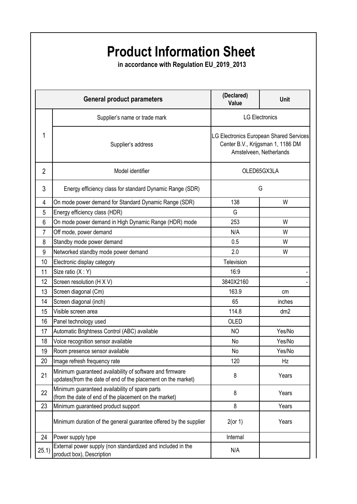## **Product Information Sheet**

 **in accordance with Regulation EU\_2019\_2013**

| <b>General product parameters</b> |                                                                                                                          | (Declared)<br>Value                                                                                     | Unit            |
|-----------------------------------|--------------------------------------------------------------------------------------------------------------------------|---------------------------------------------------------------------------------------------------------|-----------------|
| 1                                 | Supplier's name or trade mark                                                                                            | <b>LG Electronics</b>                                                                                   |                 |
|                                   | Supplier's address                                                                                                       | LG Electronics European Shared Services<br>Center B.V., Krijgsman 1, 1186 DM<br>Amstelveen, Netherlands |                 |
| $\overline{2}$                    | Model identifier                                                                                                         | OLED65GX3LA                                                                                             |                 |
| 3                                 | Energy efficiency class for standard Dynamic Range (SDR)                                                                 | G                                                                                                       |                 |
| 4                                 | On mode power demand for Standard Dynamic Range (SDR)                                                                    | 138                                                                                                     | W               |
| 5                                 | Energy efficiency class (HDR)                                                                                            | G                                                                                                       |                 |
| 6                                 | On mode power demand in High Dynamic Range (HDR) mode                                                                    | 253                                                                                                     | W               |
| $\overline{7}$                    | Off mode, power demand                                                                                                   | N/A                                                                                                     | W               |
| 8                                 | Standby mode power demand                                                                                                | 0.5                                                                                                     | W               |
| 9                                 | Networked standby mode power demand                                                                                      | 2.0                                                                                                     | W               |
| 10                                | Electronic display category                                                                                              | Television                                                                                              |                 |
| 11                                | Size ratio (X: Y)                                                                                                        | 16:9                                                                                                    |                 |
| 12                                | Screen resolution (H X V)                                                                                                | 3840X2160                                                                                               |                 |
| 13                                | Screen diagonal (Cm)                                                                                                     | 163.9                                                                                                   | cm              |
| 14                                | Screen diagonal (inch)                                                                                                   | 65                                                                                                      | inches          |
| 15                                | Visible screen area                                                                                                      | 114.8                                                                                                   | dm <sub>2</sub> |
| 16                                | Panel technology used                                                                                                    | OLED                                                                                                    |                 |
| 17                                | Automatic Brightness Control (ABC) available                                                                             | <b>NO</b>                                                                                               | Yes/No          |
| 18                                | Voice recognition sensor available                                                                                       | No                                                                                                      | Yes/No          |
| 19                                | Room presence sensor available                                                                                           | No                                                                                                      | Yes/No          |
| 20                                | Image refresh frequency rate                                                                                             | 120                                                                                                     | Hz              |
| 21                                | Minimum guaranteed availability of software and firmware<br>updates(from the date of end of the placement on the market) | 8                                                                                                       | Years           |
| 22                                | Minimum guaranteed availability of spare parts<br>(from the date of end of the placement on the market)                  | 8                                                                                                       | Years           |
| 23                                | Minimum guaranteed product support                                                                                       | 8                                                                                                       | Years           |
|                                   | Minimum duration of the general guarantee offered by the supplier                                                        | $2($ or 1)                                                                                              | Years           |
| 24                                | Power supply type                                                                                                        | Internal                                                                                                |                 |
| 25.1)                             | External power supply (non standardized and included in the<br>product box), Description                                 | N/A                                                                                                     |                 |